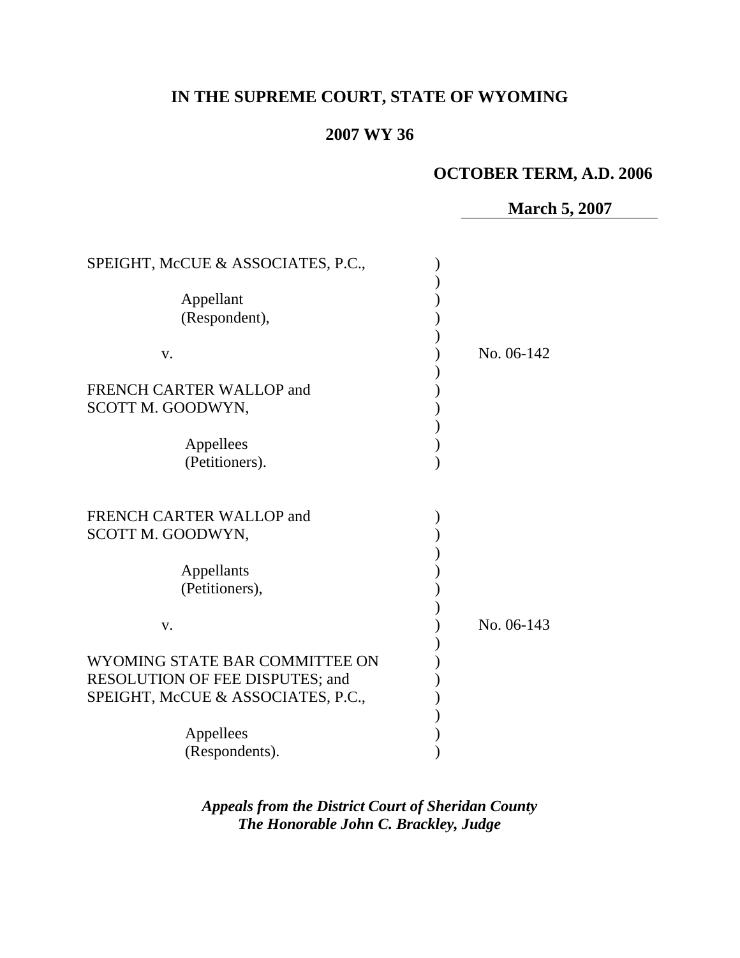# **IN THE SUPREME COURT, STATE OF WYOMING**

# **2007 WY 36**

# **OCTOBER TERM, A.D. 2006**

**March 5, 2007**

| SPEIGHT, McCUE & ASSOCIATES, P.C., |            |
|------------------------------------|------------|
|                                    |            |
| Appellant                          |            |
| (Respondent),                      |            |
|                                    |            |
| V.                                 | No. 06-142 |
|                                    |            |
| FRENCH CARTER WALLOP and           |            |
| SCOTT M. GOODWYN,                  |            |
|                                    |            |
| Appellees                          |            |
| (Petitioners).                     |            |
|                                    |            |
|                                    |            |
| FRENCH CARTER WALLOP and           |            |
|                                    |            |
| SCOTT M. GOODWYN,                  |            |
|                                    |            |
| Appellants                         |            |
| (Petitioners),                     |            |
|                                    |            |
| V.                                 | No. 06-143 |
|                                    |            |
| WYOMING STATE BAR COMMITTEE ON     |            |
| RESOLUTION OF FEE DISPUTES; and    |            |
| SPEIGHT, McCUE & ASSOCIATES, P.C., |            |
|                                    |            |
| Appellees                          |            |
| (Respondents).                     |            |

*Appeals from the District Court of Sheridan County The Honorable John C. Brackley, Judge*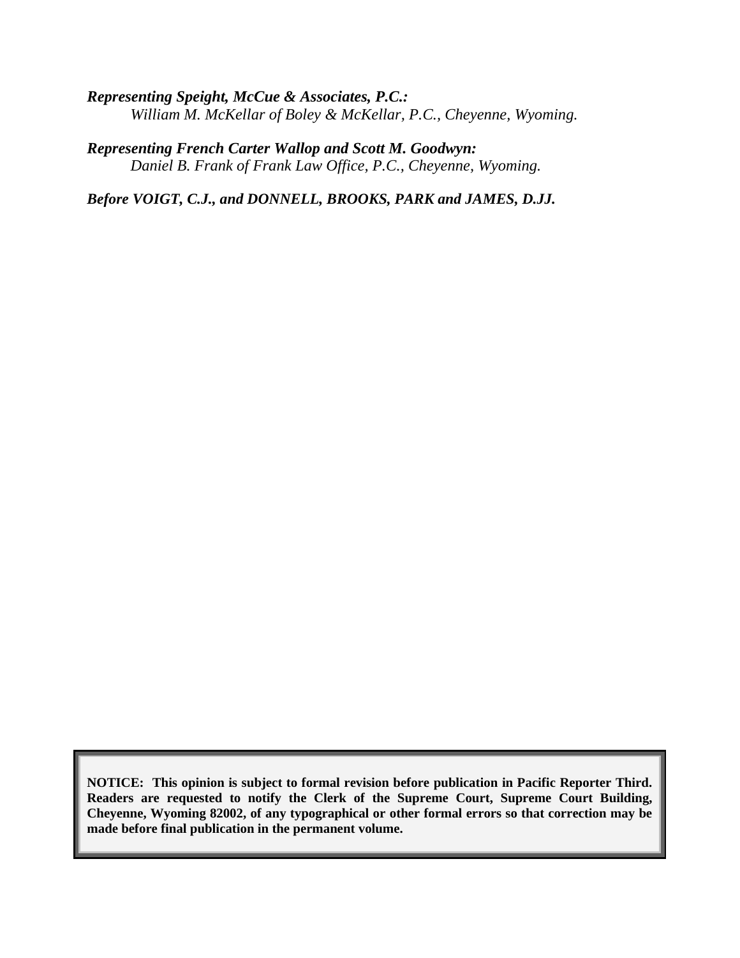*Representing Speight, McCue & Associates, P.C.: William M. McKellar of Boley & McKellar, P.C., Cheyenne, Wyoming.*

*Representing French Carter Wallop and Scott M. Goodwyn: Daniel B. Frank of Frank Law Office, P.C., Cheyenne, Wyoming.*

*Before VOIGT, C.J., and DONNELL, BROOKS, PARK and JAMES, D.JJ.*

**NOTICE: This opinion is subject to formal revision before publication in Pacific Reporter Third. Readers are requested to notify the Clerk of the Supreme Court, Supreme Court Building, Cheyenne, Wyoming 82002, of any typographical or other formal errors so that correction may be made before final publication in the permanent volume.**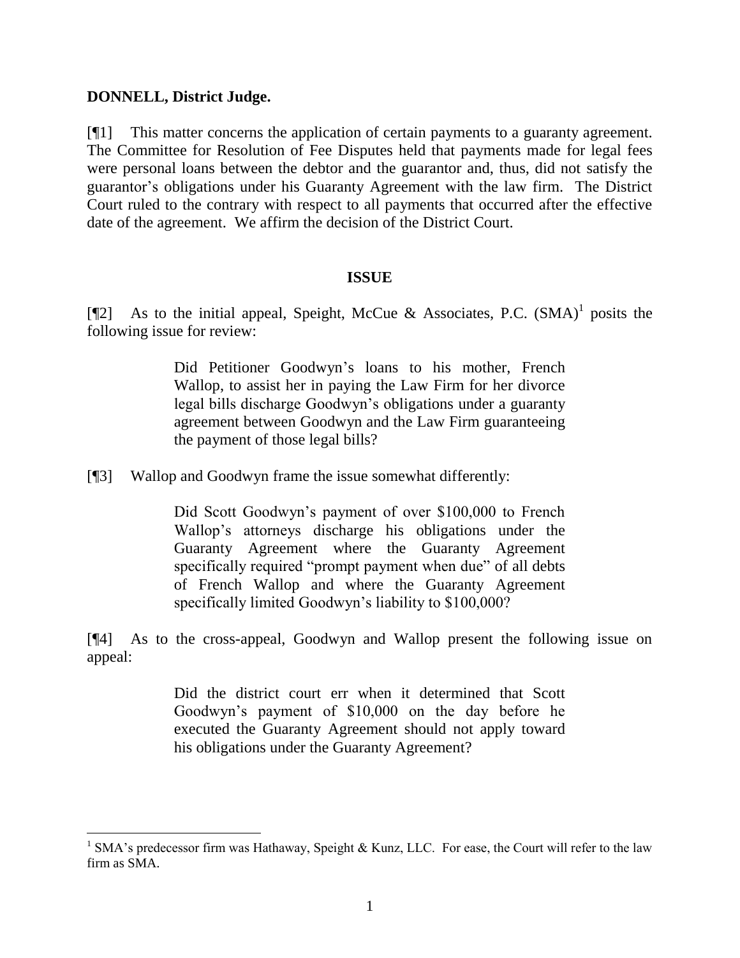### **DONNELL, District Judge.**

l

[¶1] This matter concerns the application of certain payments to a guaranty agreement. The Committee for Resolution of Fee Disputes held that payments made for legal fees were personal loans between the debtor and the guarantor and, thus, did not satisfy the guarantor's obligations under his Guaranty Agreement with the law firm. The District Court ruled to the contrary with respect to all payments that occurred after the effective date of the agreement. We affirm the decision of the District Court.

### **ISSUE**

[¶2] As to the initial appeal, Speight, McCue & Associates, P.C.  $(SMA)^1$  posits the following issue for review:

> Did Petitioner Goodwyn's loans to his mother, French Wallop, to assist her in paying the Law Firm for her divorce legal bills discharge Goodwyn's obligations under a guaranty agreement between Goodwyn and the Law Firm guaranteeing the payment of those legal bills?

[¶3] Wallop and Goodwyn frame the issue somewhat differently:

Did Scott Goodwyn's payment of over \$100,000 to French Wallop's attorneys discharge his obligations under the Guaranty Agreement where the Guaranty Agreement specifically required "prompt payment when due" of all debts of French Wallop and where the Guaranty Agreement specifically limited Goodwyn's liability to \$100,000?

[¶4] As to the cross-appeal, Goodwyn and Wallop present the following issue on appeal:

> Did the district court err when it determined that Scott Goodwyn's payment of \$10,000 on the day before he executed the Guaranty Agreement should not apply toward his obligations under the Guaranty Agreement?

<sup>&</sup>lt;sup>1</sup> SMA's predecessor firm was Hathaway, Speight & Kunz, LLC. For ease, the Court will refer to the law firm as SMA.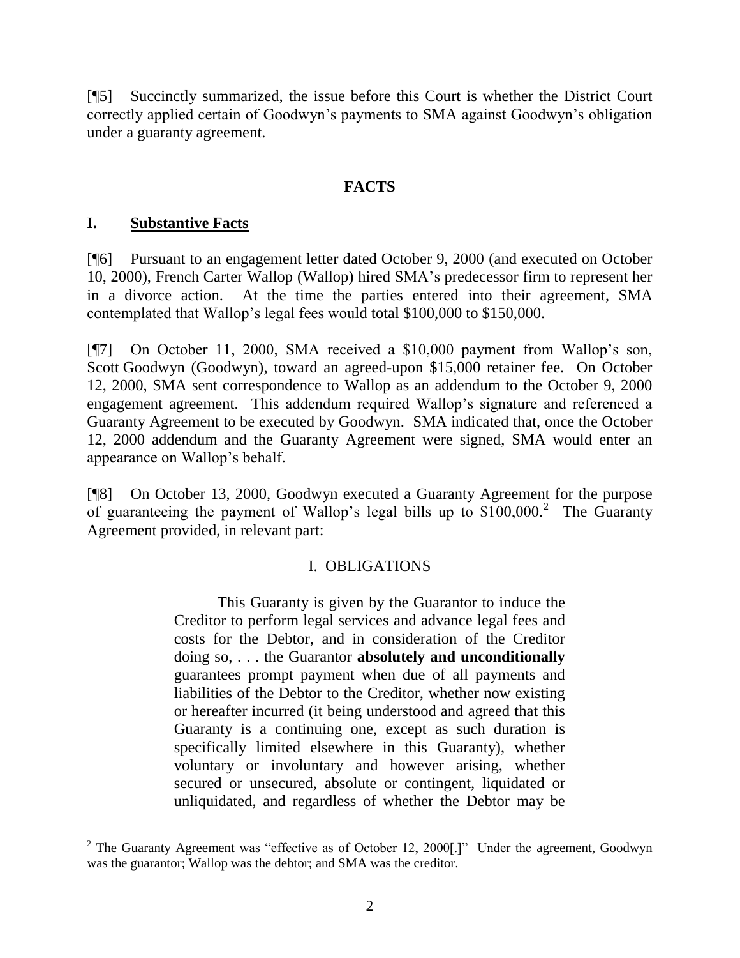[¶5] Succinctly summarized, the issue before this Court is whether the District Court correctly applied certain of Goodwyn's payments to SMA against Goodwyn's obligation under a guaranty agreement.

# **FACTS**

### **I. Substantive Facts**

l

[¶6] Pursuant to an engagement letter dated October 9, 2000 (and executed on October 10, 2000), French Carter Wallop (Wallop) hired SMA's predecessor firm to represent her in a divorce action. At the time the parties entered into their agreement, SMA contemplated that Wallop's legal fees would total \$100,000 to \$150,000.

[¶7] On October 11, 2000, SMA received a \$10,000 payment from Wallop's son, Scott Goodwyn (Goodwyn), toward an agreed-upon \$15,000 retainer fee. On October 12, 2000, SMA sent correspondence to Wallop as an addendum to the October 9, 2000 engagement agreement. This addendum required Wallop's signature and referenced a Guaranty Agreement to be executed by Goodwyn. SMA indicated that, once the October 12, 2000 addendum and the Guaranty Agreement were signed, SMA would enter an appearance on Wallop's behalf.

[¶8] On October 13, 2000, Goodwyn executed a Guaranty Agreement for the purpose of guaranteeing the payment of Wallop's legal bills up to  $$100,000.<sup>2</sup>$  The Guaranty Agreement provided, in relevant part:

# I. OBLIGATIONS

This Guaranty is given by the Guarantor to induce the Creditor to perform legal services and advance legal fees and costs for the Debtor, and in consideration of the Creditor doing so, . . . the Guarantor **absolutely and unconditionally** guarantees prompt payment when due of all payments and liabilities of the Debtor to the Creditor, whether now existing or hereafter incurred (it being understood and agreed that this Guaranty is a continuing one, except as such duration is specifically limited elsewhere in this Guaranty), whether voluntary or involuntary and however arising, whether secured or unsecured, absolute or contingent, liquidated or unliquidated, and regardless of whether the Debtor may be

<sup>&</sup>lt;sup>2</sup> The Guaranty Agreement was "effective as of October 12, 2000[.]" Under the agreement, Goodwyn was the guarantor; Wallop was the debtor; and SMA was the creditor.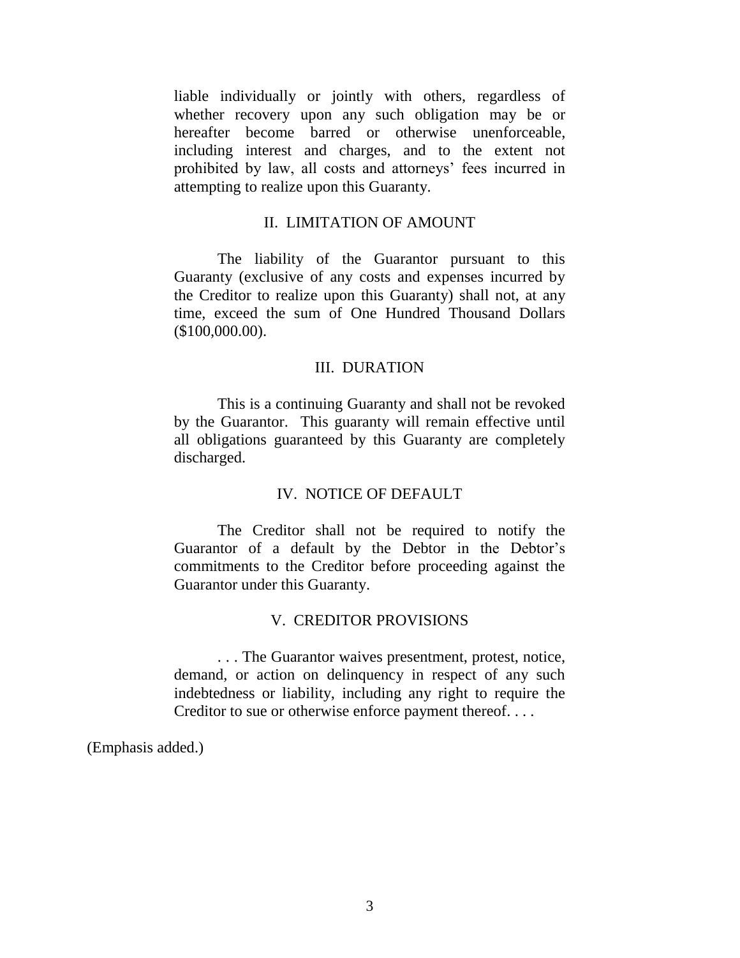liable individually or jointly with others, regardless of whether recovery upon any such obligation may be or hereafter become barred or otherwise unenforceable, including interest and charges, and to the extent not prohibited by law, all costs and attorneys' fees incurred in attempting to realize upon this Guaranty.

#### II. LIMITATION OF AMOUNT

The liability of the Guarantor pursuant to this Guaranty (exclusive of any costs and expenses incurred by the Creditor to realize upon this Guaranty) shall not, at any time, exceed the sum of One Hundred Thousand Dollars (\$100,000.00).

#### III. DURATION

This is a continuing Guaranty and shall not be revoked by the Guarantor. This guaranty will remain effective until all obligations guaranteed by this Guaranty are completely discharged.

### IV. NOTICE OF DEFAULT

The Creditor shall not be required to notify the Guarantor of a default by the Debtor in the Debtor's commitments to the Creditor before proceeding against the Guarantor under this Guaranty.

#### V. CREDITOR PROVISIONS

. . . The Guarantor waives presentment, protest, notice, demand, or action on delinquency in respect of any such indebtedness or liability, including any right to require the Creditor to sue or otherwise enforce payment thereof. . . .

(Emphasis added.)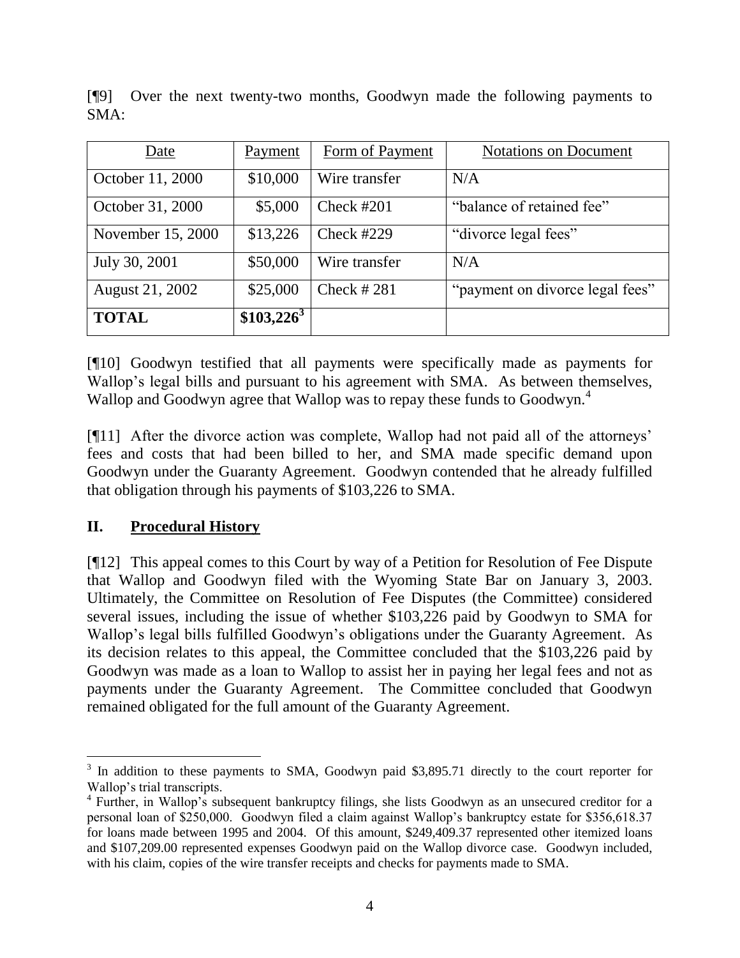| Date              | Payment      | Form of Payment | <b>Notations on Document</b>    |
|-------------------|--------------|-----------------|---------------------------------|
| October 11, 2000  | \$10,000     | Wire transfer   | N/A                             |
| October 31, 2000  | \$5,000      | Check #201      | "balance of retained fee"       |
| November 15, 2000 | \$13,226     | Check $#229$    | "divorce legal fees"            |
| July 30, 2001     | \$50,000     | Wire transfer   | N/A                             |
| August 21, 2002   | \$25,000     | Check $#281$    | "payment on divorce legal fees" |
| <b>TOTAL</b>      | $$103,226^3$ |                 |                                 |

[¶9] Over the next twenty-two months, Goodwyn made the following payments to SMA:

[¶10] Goodwyn testified that all payments were specifically made as payments for Wallop's legal bills and pursuant to his agreement with SMA. As between themselves, Wallop and Goodwyn agree that Wallop was to repay these funds to Goodwyn.<sup>4</sup>

[¶11] After the divorce action was complete, Wallop had not paid all of the attorneys' fees and costs that had been billed to her, and SMA made specific demand upon Goodwyn under the Guaranty Agreement. Goodwyn contended that he already fulfilled that obligation through his payments of \$103,226 to SMA.

# **II. Procedural History**

[¶12] This appeal comes to this Court by way of a Petition for Resolution of Fee Dispute that Wallop and Goodwyn filed with the Wyoming State Bar on January 3, 2003. Ultimately, the Committee on Resolution of Fee Disputes (the Committee) considered several issues, including the issue of whether \$103,226 paid by Goodwyn to SMA for Wallop's legal bills fulfilled Goodwyn's obligations under the Guaranty Agreement. As its decision relates to this appeal, the Committee concluded that the \$103,226 paid by Goodwyn was made as a loan to Wallop to assist her in paying her legal fees and not as payments under the Guaranty Agreement. The Committee concluded that Goodwyn remained obligated for the full amount of the Guaranty Agreement.

<sup>&</sup>lt;sup>3</sup> In addition to these payments to SMA, Goodwyn paid \$3,895.71 directly to the court reporter for Wallop's trial transcripts.

<sup>&</sup>lt;sup>4</sup> Further, in Wallop's subsequent bankruptcy filings, she lists Goodwyn as an unsecured creditor for a personal loan of \$250,000. Goodwyn filed a claim against Wallop's bankruptcy estate for \$356,618.37 for loans made between 1995 and 2004. Of this amount, \$249,409.37 represented other itemized loans and \$107,209.00 represented expenses Goodwyn paid on the Wallop divorce case. Goodwyn included, with his claim, copies of the wire transfer receipts and checks for payments made to SMA.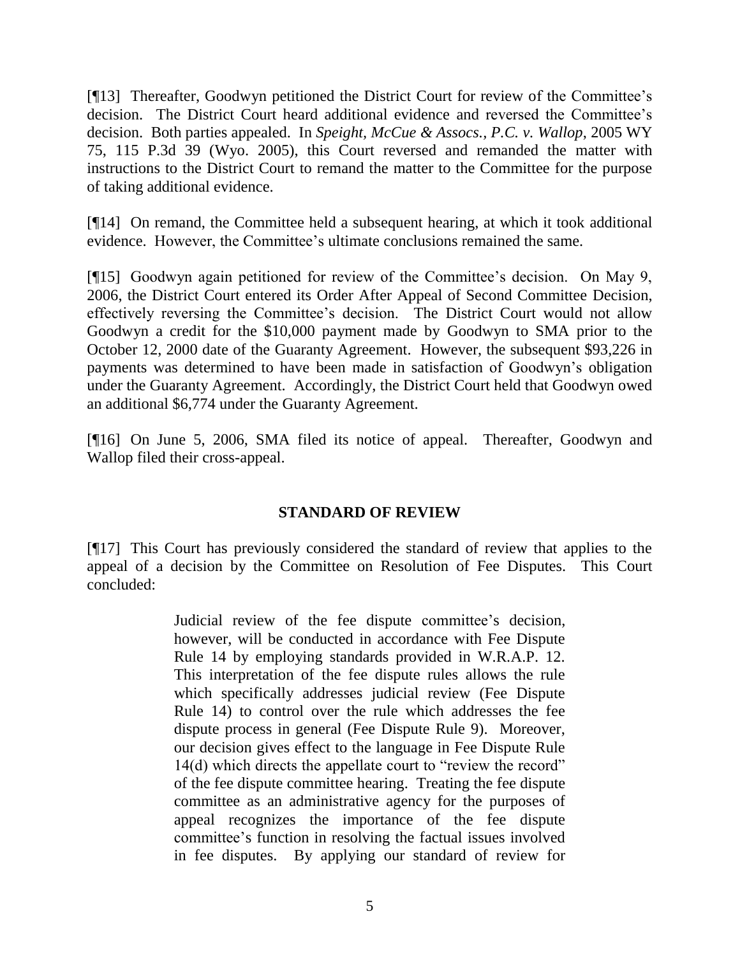[¶13] Thereafter, Goodwyn petitioned the District Court for review of the Committee's decision. The District Court heard additional evidence and reversed the Committee's decision. Both parties appealed. In *Speight, McCue & Assocs., P.C. v. Wallop*, 2005 WY 75, 115 P.3d 39 (Wyo. 2005), this Court reversed and remanded the matter with instructions to the District Court to remand the matter to the Committee for the purpose of taking additional evidence.

[¶14] On remand, the Committee held a subsequent hearing, at which it took additional evidence. However, the Committee's ultimate conclusions remained the same.

[¶15] Goodwyn again petitioned for review of the Committee's decision. On May 9, 2006, the District Court entered its Order After Appeal of Second Committee Decision, effectively reversing the Committee's decision. The District Court would not allow Goodwyn a credit for the \$10,000 payment made by Goodwyn to SMA prior to the October 12, 2000 date of the Guaranty Agreement. However, the subsequent \$93,226 in payments was determined to have been made in satisfaction of Goodwyn's obligation under the Guaranty Agreement. Accordingly, the District Court held that Goodwyn owed an additional \$6,774 under the Guaranty Agreement.

[¶16] On June 5, 2006, SMA filed its notice of appeal. Thereafter, Goodwyn and Wallop filed their cross-appeal.

# **STANDARD OF REVIEW**

[¶17] This Court has previously considered the standard of review that applies to the appeal of a decision by the Committee on Resolution of Fee Disputes. This Court concluded:

> Judicial review of the fee dispute committee's decision, however, will be conducted in accordance with Fee Dispute Rule 14 by employing standards provided in W.R.A.P. 12. This interpretation of the fee dispute rules allows the rule which specifically addresses judicial review (Fee Dispute Rule 14) to control over the rule which addresses the fee dispute process in general (Fee Dispute Rule 9). Moreover, our decision gives effect to the language in Fee Dispute Rule 14(d) which directs the appellate court to "review the record" of the fee dispute committee hearing. Treating the fee dispute committee as an administrative agency for the purposes of appeal recognizes the importance of the fee dispute committee's function in resolving the factual issues involved in fee disputes. By applying our standard of review for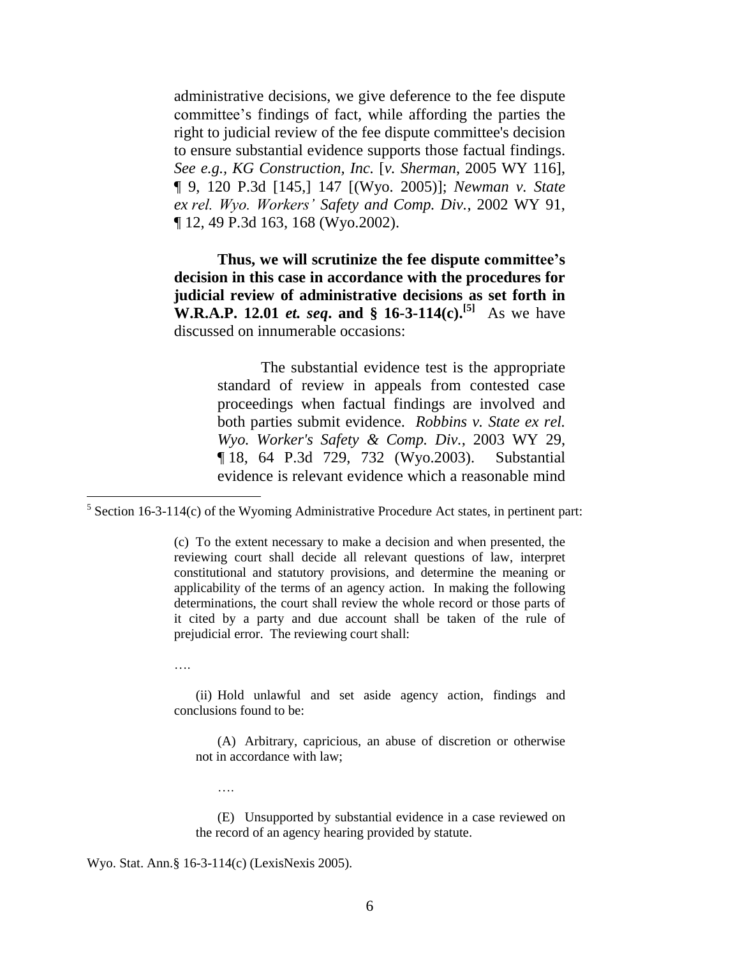administrative decisions, we give deference to the fee dispute committee's findings of fact, while affording the parties the right to judicial review of the fee dispute committee's decision to ensure substantial evidence supports those factual findings. *See e.g., KG Construction, Inc.* [*v. Sherman*, 2005 WY 116], ¶ 9, 120 P.3d [145,] 147 [(Wyo. 2005)]; *Newman v. State ex rel. Wyo. Workers' Safety and Comp. Div.*, 2002 WY 91, ¶ 12, 49 P.3d 163, 168 (Wyo.2002).

**Thus, we will scrutinize the fee dispute committee's decision in this case in accordance with the procedures for judicial review of administrative decisions as set forth in W.R.A.P. 12.01** *et. seq***. and § 16-3-114(c).[5]** As we have discussed on innumerable occasions:

> The substantial evidence test is the appropriate standard of review in appeals from contested case proceedings when factual findings are involved and both parties submit evidence. *Robbins v. State ex rel. Wyo. Worker's Safety & Comp. Div.*, 2003 WY 29, ¶ 18, 64 P.3d 729, 732 (Wyo.2003). Substantial evidence is relevant evidence which a reasonable mind

(c) To the extent necessary to make a decision and when presented, the reviewing court shall decide all relevant questions of law, interpret constitutional and statutory provisions, and determine the meaning or applicability of the terms of an agency action. In making the following determinations, the court shall review the whole record or those parts of it cited by a party and due account shall be taken of the rule of prejudicial error. The reviewing court shall:

….

(ii) Hold unlawful and set aside agency action, findings and conclusions found to be:

(A) Arbitrary, capricious, an abuse of discretion or otherwise not in accordance with law;

(E) Unsupported by substantial evidence in a case reviewed on the record of an agency hearing provided by statute.

Wyo. Stat. Ann.§ 16-3-114(c) (LexisNexis 2005).

….

 $5$  Section 16-3-114(c) of the Wyoming Administrative Procedure Act states, in pertinent part: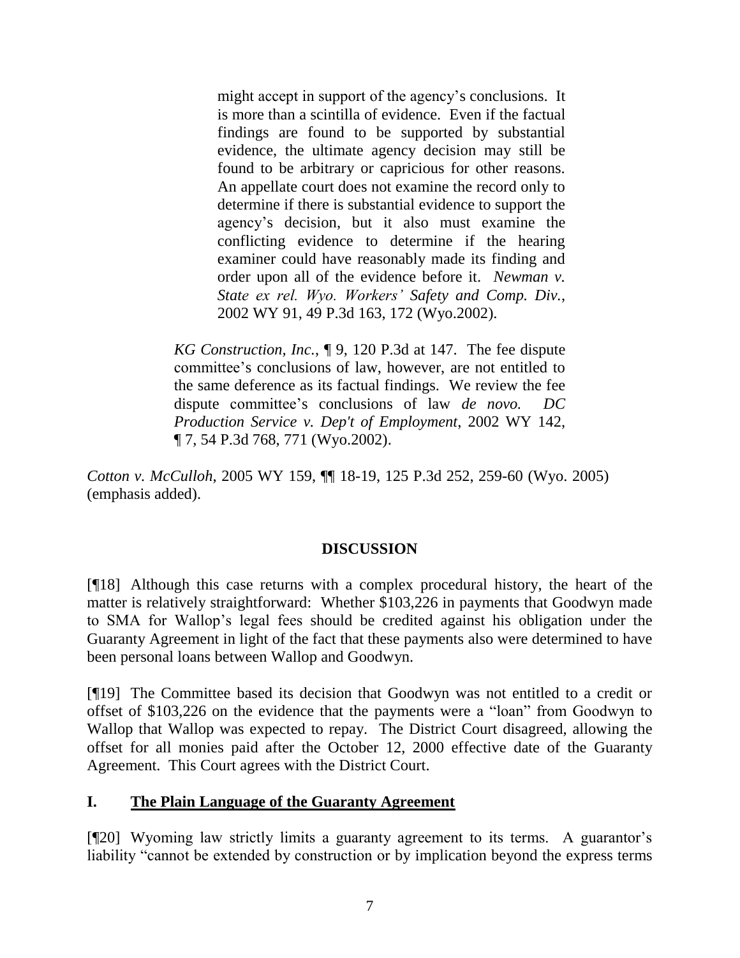might accept in support of the agency's conclusions. It is more than a scintilla of evidence. Even if the factual findings are found to be supported by substantial evidence, the ultimate agency decision may still be found to be arbitrary or capricious for other reasons. An appellate court does not examine the record only to determine if there is substantial evidence to support the agency's decision, but it also must examine the conflicting evidence to determine if the hearing examiner could have reasonably made its finding and order upon all of the evidence before it. *Newman v. State ex rel. Wyo. Workers' Safety and Comp. Div.*, 2002 WY 91, 49 P.3d 163, 172 (Wyo.2002).

*KG Construction, Inc.*, ¶ 9, 120 P.3d at 147. The fee dispute committee's conclusions of law, however, are not entitled to the same deference as its factual findings. We review the fee dispute committee's conclusions of law *de novo. DC Production Service v. Dep't of Employment*, 2002 WY 142, ¶ 7, 54 P.3d 768, 771 (Wyo.2002).

*Cotton v. McCulloh*, 2005 WY 159, ¶¶ 18-19, 125 P.3d 252, 259-60 (Wyo. 2005) (emphasis added).

### **DISCUSSION**

[¶18] Although this case returns with a complex procedural history, the heart of the matter is relatively straightforward: Whether \$103,226 in payments that Goodwyn made to SMA for Wallop's legal fees should be credited against his obligation under the Guaranty Agreement in light of the fact that these payments also were determined to have been personal loans between Wallop and Goodwyn.

[¶19] The Committee based its decision that Goodwyn was not entitled to a credit or offset of \$103,226 on the evidence that the payments were a "loan" from Goodwyn to Wallop that Wallop was expected to repay. The District Court disagreed, allowing the offset for all monies paid after the October 12, 2000 effective date of the Guaranty Agreement. This Court agrees with the District Court.

### **I. The Plain Language of the Guaranty Agreement**

[¶20] Wyoming law strictly limits a guaranty agreement to its terms. A guarantor's liability "cannot be extended by construction or by implication beyond the express terms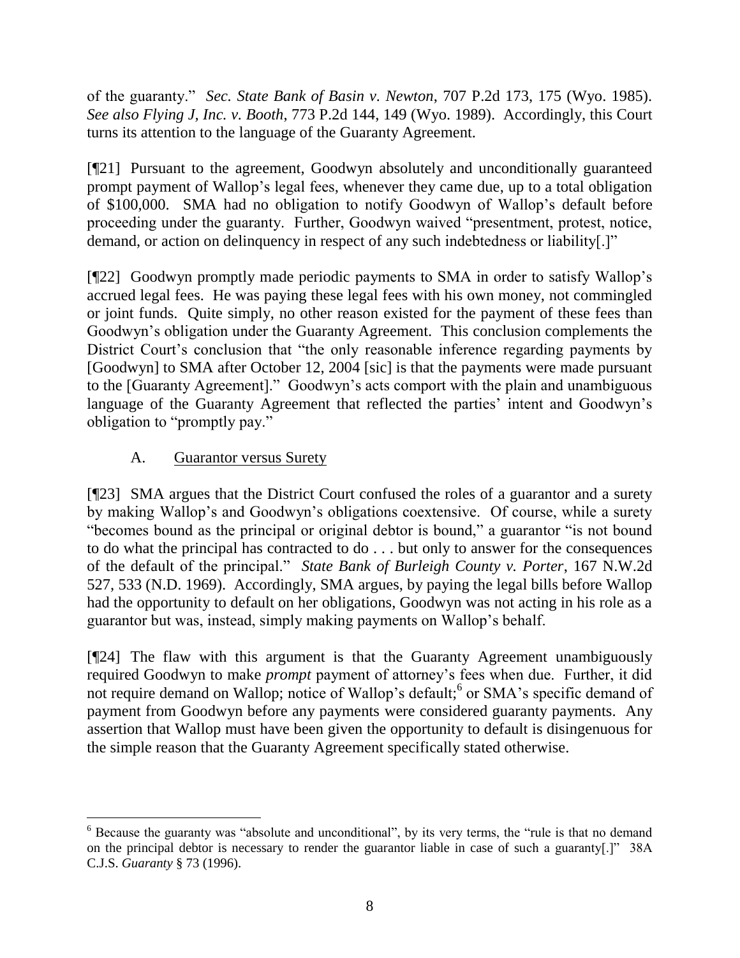of the guaranty." *Sec. State Bank of Basin v. Newton*, 707 P.2d 173, 175 (Wyo. 1985). *See also Flying J, Inc. v. Booth*, 773 P.2d 144, 149 (Wyo. 1989). Accordingly, this Court turns its attention to the language of the Guaranty Agreement.

[¶21] Pursuant to the agreement, Goodwyn absolutely and unconditionally guaranteed prompt payment of Wallop's legal fees, whenever they came due, up to a total obligation of \$100,000. SMA had no obligation to notify Goodwyn of Wallop's default before proceeding under the guaranty. Further, Goodwyn waived "presentment, protest, notice, demand, or action on delinquency in respect of any such indebtedness or liability[.]"

[¶22] Goodwyn promptly made periodic payments to SMA in order to satisfy Wallop's accrued legal fees. He was paying these legal fees with his own money, not commingled or joint funds. Quite simply, no other reason existed for the payment of these fees than Goodwyn's obligation under the Guaranty Agreement. This conclusion complements the District Court's conclusion that "the only reasonable inference regarding payments by [Goodwyn] to SMA after October 12, 2004 [sic] is that the payments were made pursuant to the [Guaranty Agreement]." Goodwyn's acts comport with the plain and unambiguous language of the Guaranty Agreement that reflected the parties' intent and Goodwyn's obligation to "promptly pay."

# A. Guarantor versus Surety

[¶23] SMA argues that the District Court confused the roles of a guarantor and a surety by making Wallop's and Goodwyn's obligations coextensive. Of course, while a surety "becomes bound as the principal or original debtor is bound," a guarantor "is not bound to do what the principal has contracted to do . . . but only to answer for the consequences of the default of the principal." *State Bank of Burleigh County v. Porter*, 167 N.W.2d 527, 533 (N.D. 1969). Accordingly, SMA argues, by paying the legal bills before Wallop had the opportunity to default on her obligations, Goodwyn was not acting in his role as a guarantor but was, instead, simply making payments on Wallop's behalf.

[¶24] The flaw with this argument is that the Guaranty Agreement unambiguously required Goodwyn to make *prompt* payment of attorney's fees when due. Further, it did not require demand on Wallop; notice of Wallop's default;<sup>6</sup> or SMA's specific demand of payment from Goodwyn before any payments were considered guaranty payments. Any assertion that Wallop must have been given the opportunity to default is disingenuous for the simple reason that the Guaranty Agreement specifically stated otherwise.

 <sup>6</sup> Because the guaranty was "absolute and unconditional", by its very terms, the "rule is that no demand" on the principal debtor is necessary to render the guarantor liable in case of such a guaranty[.]" 38A C.J.S. *Guaranty* § 73 (1996).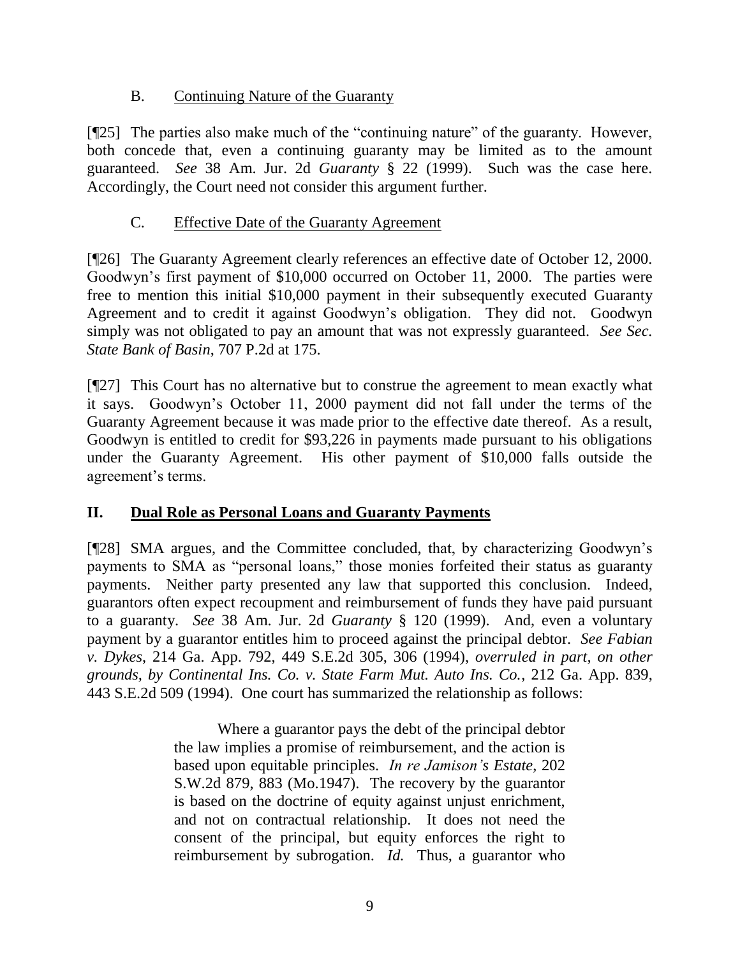# B. Continuing Nature of the Guaranty

[¶25] The parties also make much of the "continuing nature" of the guaranty. However, both concede that, even a continuing guaranty may be limited as to the amount guaranteed. *See* 38 Am. Jur. 2d *Guaranty* § 22 (1999). Such was the case here. Accordingly, the Court need not consider this argument further.

# C. Effective Date of the Guaranty Agreement

[¶26] The Guaranty Agreement clearly references an effective date of October 12, 2000. Goodwyn's first payment of \$10,000 occurred on October 11, 2000. The parties were free to mention this initial \$10,000 payment in their subsequently executed Guaranty Agreement and to credit it against Goodwyn's obligation. They did not. Goodwyn simply was not obligated to pay an amount that was not expressly guaranteed. *See Sec. State Bank of Basin*, 707 P.2d at 175.

[¶27] This Court has no alternative but to construe the agreement to mean exactly what it says. Goodwyn's October 11, 2000 payment did not fall under the terms of the Guaranty Agreement because it was made prior to the effective date thereof. As a result, Goodwyn is entitled to credit for \$93,226 in payments made pursuant to his obligations under the Guaranty Agreement. His other payment of \$10,000 falls outside the agreement's terms.

# **II. Dual Role as Personal Loans and Guaranty Payments**

[¶28] SMA argues, and the Committee concluded, that, by characterizing Goodwyn's payments to SMA as "personal loans," those monies forfeited their status as guaranty payments. Neither party presented any law that supported this conclusion. Indeed, guarantors often expect recoupment and reimbursement of funds they have paid pursuant to a guaranty. *See* 38 Am. Jur. 2d *Guaranty* § 120 (1999). And, even a voluntary payment by a guarantor entitles him to proceed against the principal debtor. *See Fabian v. Dykes*, 214 Ga. App. 792, 449 S.E.2d 305, 306 (1994), *overruled in part, on other grounds, by Continental Ins. Co. v. State Farm Mut. Auto Ins. Co.*, 212 Ga. App. 839, 443 S.E.2d 509 (1994). One court has summarized the relationship as follows:

> Where a guarantor pays the debt of the principal debtor the law implies a promise of reimbursement, and the action is based upon equitable principles. *In re Jamison's Estate*, 202 S.W.2d 879, 883 (Mo.1947). The recovery by the guarantor is based on the doctrine of equity against unjust enrichment, and not on contractual relationship. It does not need the consent of the principal, but equity enforces the right to reimbursement by subrogation. *Id.* Thus, a guarantor who